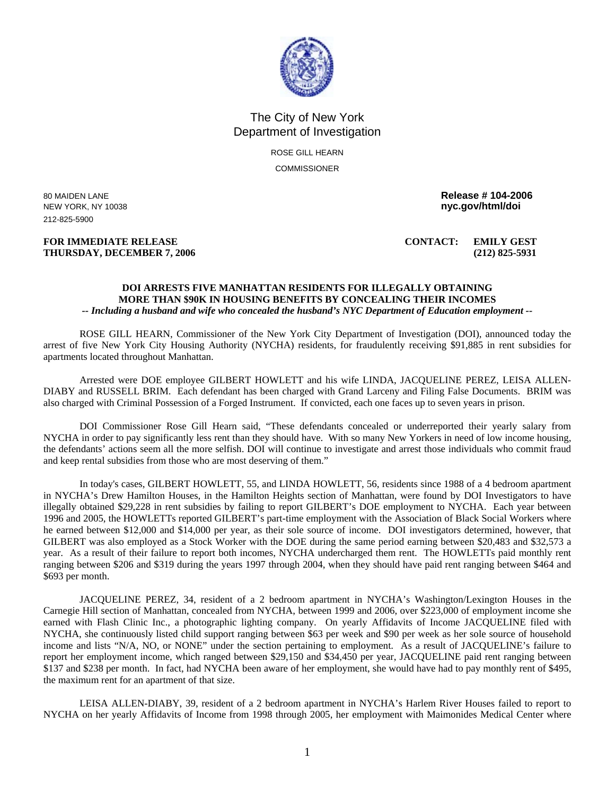

## The City of New York Department of Investigation

ROSE GILL HEARN **COMMISSIONER** 

NEW YORK, NY 10038 **nyc.gov/html/doi**  212-825-5900

## **FOR IMMEDIATE RELEASE CONTACT: EMILY GEST THURSDAY, DECEMBER 7, 2006 (212) 825-5931**

80 MAIDEN LANE **Release # 104-2006** 

## **DOI ARRESTS FIVE MANHATTAN RESIDENTS FOR ILLEGALLY OBTAINING MORE THAN \$90K IN HOUSING BENEFITS BY CONCEALING THEIR INCOMES**  *-- Including a husband and wife who concealed the husband's NYC Department of Education employment --*

ROSE GILL HEARN, Commissioner of the New York City Department of Investigation (DOI), announced today the arrest of five New York City Housing Authority (NYCHA) residents, for fraudulently receiving \$91,885 in rent subsidies for apartments located throughout Manhattan.

Arrested were DOE employee GILBERT HOWLETT and his wife LINDA, JACQUELINE PEREZ, LEISA ALLEN-DIABY and RUSSELL BRIM. Each defendant has been charged with Grand Larceny and Filing False Documents. BRIM was also charged with Criminal Possession of a Forged Instrument. If convicted, each one faces up to seven years in prison.

DOI Commissioner Rose Gill Hearn said, "These defendants concealed or underreported their yearly salary from NYCHA in order to pay significantly less rent than they should have. With so many New Yorkers in need of low income housing, the defendants' actions seem all the more selfish. DOI will continue to investigate and arrest those individuals who commit fraud and keep rental subsidies from those who are most deserving of them."

In today's cases, GILBERT HOWLETT, 55, and LINDA HOWLETT, 56, residents since 1988 of a 4 bedroom apartment in NYCHA's Drew Hamilton Houses, in the Hamilton Heights section of Manhattan, were found by DOI Investigators to have illegally obtained \$29,228 in rent subsidies by failing to report GILBERT's DOE employment to NYCHA. Each year between 1996 and 2005, the HOWLETTs reported GILBERT's part-time employment with the Association of Black Social Workers where he earned between \$12,000 and \$14,000 per year, as their sole source of income. DOI investigators determined, however, that GILBERT was also employed as a Stock Worker with the DOE during the same period earning between \$20,483 and \$32,573 a year. As a result of their failure to report both incomes, NYCHA undercharged them rent. The HOWLETTs paid monthly rent ranging between \$206 and \$319 during the years 1997 through 2004, when they should have paid rent ranging between \$464 and \$693 per month.

JACQUELINE PEREZ, 34, resident of a 2 bedroom apartment in NYCHA's Washington/Lexington Houses in the Carnegie Hill section of Manhattan, concealed from NYCHA, between 1999 and 2006, over \$223,000 of employment income she earned with Flash Clinic Inc., a photographic lighting company. On yearly Affidavits of Income JACQUELINE filed with NYCHA, she continuously listed child support ranging between \$63 per week and \$90 per week as her sole source of household income and lists "N/A, NO, or NONE" under the section pertaining to employment. As a result of JACQUELINE's failure to report her employment income, which ranged between \$29,150 and \$34,450 per year, JACQUELINE paid rent ranging between \$137 and \$238 per month. In fact, had NYCHA been aware of her employment, she would have had to pay monthly rent of \$495, the maximum rent for an apartment of that size.

LEISA ALLEN-DIABY, 39, resident of a 2 bedroom apartment in NYCHA's Harlem River Houses failed to report to NYCHA on her yearly Affidavits of Income from 1998 through 2005, her employment with Maimonides Medical Center where